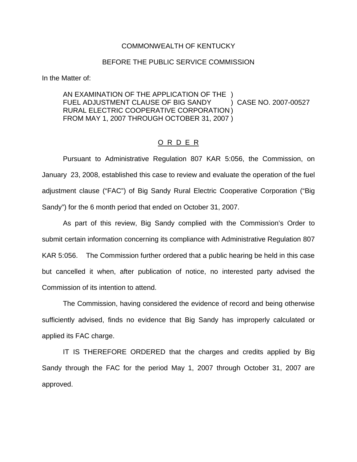## COMMONWEALTH OF KENTUCKY

## BEFORE THE PUBLIC SERVICE COMMISSION

In the Matter of:

AN EXAMINATION OF THE APPLICATION OF THE ) FUEL ADJUSTMENT CLAUSE OF BIG SANDY (2007-00527) CASE NO. 2007-00527 RURAL ELECTRIC COOPERATIVE CORPORATION ) FROM MAY 1, 2007 THROUGH OCTOBER 31, 2007 )

## O R D E R

Pursuant to Administrative Regulation 807 KAR 5:056, the Commission, on January 23, 2008, established this case to review and evaluate the operation of the fuel adjustment clause ("FAC") of Big Sandy Rural Electric Cooperative Corporation ("Big Sandy") for the 6 month period that ended on October 31, 2007.

As part of this review, Big Sandy complied with the Commission's Order to submit certain information concerning its compliance with Administrative Regulation 807 KAR 5:056. The Commission further ordered that a public hearing be held in this case but cancelled it when, after publication of notice, no interested party advised the Commission of its intention to attend.

The Commission, having considered the evidence of record and being otherwise sufficiently advised, finds no evidence that Big Sandy has improperly calculated or applied its FAC charge.

IT IS THEREFORE ORDERED that the charges and credits applied by Big Sandy through the FAC for the period May 1, 2007 through October 31, 2007 are approved.